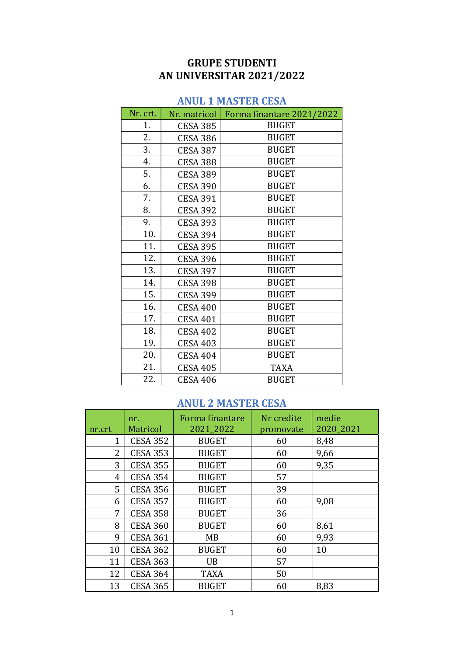## GRUPE STUDENTI AN UNIVERSITAR 2021/2022

### ANUL 1 MASTER CESA

| Nr. crt. | Nr. matricol    | Forma finantare 2021/2022 |
|----------|-----------------|---------------------------|
| 1.       | <b>CESA 385</b> | <b>BUGET</b>              |
| 2.       | <b>CESA 386</b> | <b>BUGET</b>              |
| 3.       | <b>CESA 387</b> | <b>BUGET</b>              |
| 4.       | <b>CESA 388</b> | <b>BUGET</b>              |
| 5.       | <b>CESA 389</b> | <b>BUGET</b>              |
| 6.       | <b>CESA 390</b> | <b>BUGET</b>              |
| 7.       | <b>CESA 391</b> | <b>BUGET</b>              |
| 8.       | <b>CESA 392</b> | <b>BUGET</b>              |
| 9.       | <b>CESA 393</b> | <b>BUGET</b>              |
| 10.      | <b>CESA 394</b> | <b>BUGET</b>              |
| 11.      | <b>CESA 395</b> | <b>BUGET</b>              |
| 12.      | <b>CESA 396</b> | <b>BUGET</b>              |
| 13.      | <b>CESA 397</b> | <b>BUGET</b>              |
| 14.      | <b>CESA 398</b> | <b>BUGET</b>              |
| 15.      | <b>CESA 399</b> | <b>BUGET</b>              |
| 16.      | <b>CESA 400</b> | <b>BUGET</b>              |
| 17.      | <b>CESA 401</b> | <b>BUGET</b>              |
| 18.      | <b>CESA 402</b> | <b>BUGET</b>              |
| 19.      | <b>CESA 403</b> | <b>BUGET</b>              |
| 20.      | <b>CESA 404</b> | <b>BUGET</b>              |
| 21.      | <b>CESA 405</b> | <b>TAXA</b>               |
| 22.      | <b>CESA 406</b> | <b>BUGET</b>              |

### ANUL 2 MASTER CESA

| nr.crt      | nr.<br>Matricol | Forma finantare<br>2021_2022 | Nr credite<br>promovate | medie<br>2020_2021 |
|-------------|-----------------|------------------------------|-------------------------|--------------------|
| $\mathbf 1$ | <b>CESA 352</b> | <b>BUGET</b>                 | 60                      | 8,48               |
| 2           | <b>CESA 353</b> | <b>BUGET</b>                 | 60                      | 9,66               |
| 3           | <b>CESA 355</b> | <b>BUGET</b>                 | 60                      | 9,35               |
| 4           | <b>CESA 354</b> | <b>BUGET</b>                 | 57                      |                    |
| 5           | <b>CESA 356</b> | <b>BUGET</b>                 | 39                      |                    |
| 6           | <b>CESA 357</b> | <b>BUGET</b>                 | 60                      | 9,08               |
| 7           | <b>CESA 358</b> | <b>BUGET</b>                 | 36                      |                    |
| 8           | <b>CESA 360</b> | <b>BUGET</b>                 | 60                      | 8,61               |
| 9           | <b>CESA 361</b> | MB                           | 60                      | 9,93               |
| 10          | <b>CESA 362</b> | <b>BUGET</b>                 | 60                      | 10                 |
| 11          | <b>CESA 363</b> | <b>UB</b>                    | 57                      |                    |
| 12          | <b>CESA 364</b> | <b>TAXA</b>                  | 50                      |                    |
| 13          | <b>CESA 365</b> | <b>BUGET</b>                 | 60                      | 8,83               |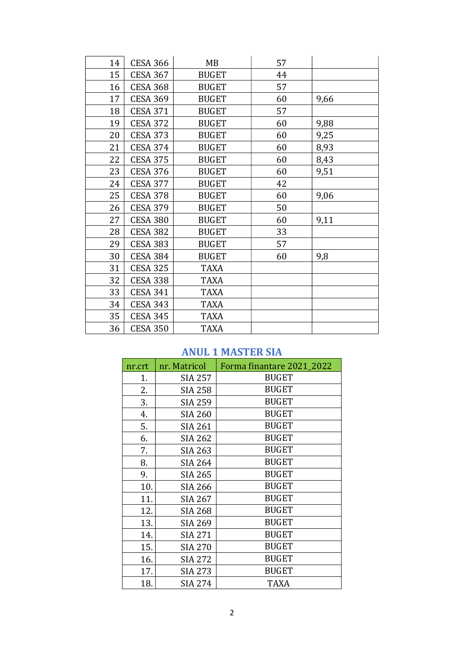| 14 | <b>CESA 366</b> | MB           | 57 |      |
|----|-----------------|--------------|----|------|
| 15 | <b>CESA 367</b> | <b>BUGET</b> | 44 |      |
| 16 | <b>CESA 368</b> | <b>BUGET</b> | 57 |      |
| 17 | <b>CESA 369</b> | <b>BUGET</b> | 60 | 9,66 |
| 18 | <b>CESA 371</b> | <b>BUGET</b> | 57 |      |
| 19 | <b>CESA 372</b> | <b>BUGET</b> | 60 | 9,88 |
| 20 | <b>CESA 373</b> | <b>BUGET</b> | 60 | 9,25 |
| 21 | <b>CESA 374</b> | <b>BUGET</b> | 60 | 8,93 |
| 22 | <b>CESA 375</b> | <b>BUGET</b> | 60 | 8,43 |
| 23 | <b>CESA 376</b> | <b>BUGET</b> | 60 | 9,51 |
| 24 | <b>CESA 377</b> | <b>BUGET</b> | 42 |      |
| 25 | <b>CESA 378</b> | <b>BUGET</b> | 60 | 9,06 |
| 26 | <b>CESA 379</b> | <b>BUGET</b> | 50 |      |
| 27 | <b>CESA 380</b> | <b>BUGET</b> | 60 | 9,11 |
| 28 | <b>CESA 382</b> | <b>BUGET</b> | 33 |      |
| 29 | <b>CESA 383</b> | <b>BUGET</b> | 57 |      |
| 30 | <b>CESA 384</b> | <b>BUGET</b> | 60 | 9,8  |
| 31 | <b>CESA 325</b> | <b>TAXA</b>  |    |      |
| 32 | <b>CESA 338</b> | <b>TAXA</b>  |    |      |
| 33 | <b>CESA 341</b> | <b>TAXA</b>  |    |      |
| 34 | <b>CESA 343</b> | <b>TAXA</b>  |    |      |
| 35 | <b>CESA 345</b> | <b>TAXA</b>  |    |      |
| 36 | <b>CESA 350</b> | <b>TAXA</b>  |    |      |

### ANUL 1 MASTER SIA

| nr.crt | nr. Matricol   | Forma finantare 2021_2022 |
|--------|----------------|---------------------------|
| 1.     | <b>SIA 257</b> | <b>BUGET</b>              |
| 2.     | <b>SIA 258</b> | <b>BUGET</b>              |
| 3.     | <b>SIA 259</b> | <b>BUGET</b>              |
| 4.     | <b>SIA 260</b> | <b>BUGET</b>              |
| 5.     | <b>SIA 261</b> | <b>BUGET</b>              |
| 6.     | <b>SIA 262</b> | <b>BUGET</b>              |
| 7.     | <b>SIA 263</b> | <b>BUGET</b>              |
| 8.     | <b>SIA 264</b> | <b>BUGET</b>              |
| 9.     | <b>SIA 265</b> | <b>BUGET</b>              |
| 10.    | <b>SIA 266</b> | <b>BUGET</b>              |
| 11.    | <b>SIA 267</b> | <b>BUGET</b>              |
| 12.    | <b>SIA 268</b> | <b>BUGET</b>              |
| 13.    | SIA 269        | <b>BUGET</b>              |
| 14.    | <b>SIA 271</b> | <b>BUGET</b>              |
| 15.    | <b>SIA 270</b> | <b>BUGET</b>              |
| 16.    | <b>SIA 272</b> | <b>BUGET</b>              |
| 17.    | <b>SIA 273</b> | <b>BUGET</b>              |
| 18.    | <b>SIA 274</b> | <b>TAXA</b>               |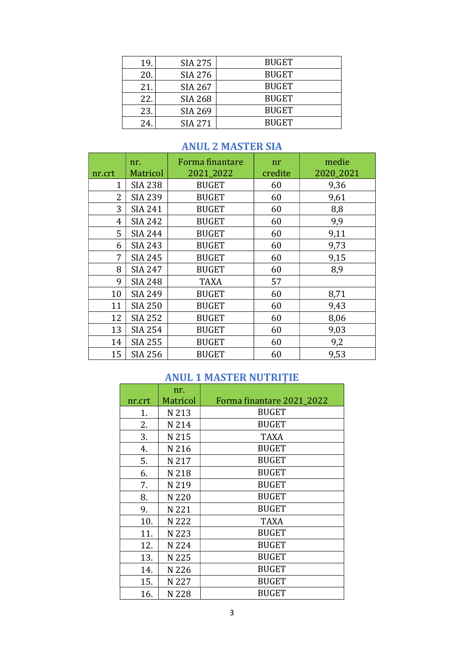| 19. | <b>SIA 275</b> | <b>BUGET</b> |
|-----|----------------|--------------|
| 20. | <b>SIA 276</b> | <b>BUGET</b> |
| 21. | <b>SIA 267</b> | <b>BUGET</b> |
| 22. | <b>SIA 268</b> | <b>BUGET</b> |
| 23. | SIA 269        | <b>BUGET</b> |
| 24. | SIA 271        | <b>BUGET</b> |

### ANUL 2 MASTER SIA

| nr.crt         | nr.<br><b>Matricol</b> | Forma finantare<br>2021_2022 | nr<br>credite | medie<br>2020_2021 |
|----------------|------------------------|------------------------------|---------------|--------------------|
| 1              | <b>SIA 238</b>         | <b>BUGET</b>                 | 60            | 9,36               |
| $\overline{2}$ | <b>SIA 239</b>         | <b>BUGET</b>                 | 60            | 9,61               |
| 3              | <b>SIA 241</b>         | <b>BUGET</b>                 | 60            | 8,8                |
| $\overline{4}$ | <b>SIA 242</b>         | <b>BUGET</b>                 | 60            | 9,9                |
| 5              | <b>SIA 244</b>         | <b>BUGET</b>                 | 60            | 9,11               |
| 6              | <b>SIA 243</b>         | <b>BUGET</b>                 | 60            | 9,73               |
| 7              | <b>SIA 245</b>         | <b>BUGET</b>                 | 60            | 9,15               |
| 8              | <b>SIA 247</b>         | <b>BUGET</b>                 | 60            | 8,9                |
| 9              | <b>SIA 248</b>         | <b>TAXA</b>                  | 57            |                    |
| 10             | <b>SIA 249</b>         | <b>BUGET</b>                 | 60            | 8,71               |
| 11             | <b>SIA 250</b>         | <b>BUGET</b>                 | 60            | 9,43               |
| 12             | <b>SIA 252</b>         | <b>BUGET</b>                 | 60            | 8,06               |
| 13             | <b>SIA 254</b>         | <b>BUGET</b>                 | 60            | 9,03               |
| 14             | <b>SIA 255</b>         | <b>BUGET</b>                 | 60            | 9,2                |
| 15             | <b>SIA 256</b>         | <b>BUGET</b>                 | 60            | 9,53               |

### ANUL 1 MASTER NUTRIȚIE

|        | nr.             |                           |
|--------|-----------------|---------------------------|
| nr.crt | <b>Matricol</b> | Forma finantare 2021_2022 |
| 1.     | N 213           | <b>BUGET</b>              |
| 2.     | N 214           | <b>BUGET</b>              |
| 3.     | N 215           | <b>TAXA</b>               |
| 4.     | N 216           | <b>BUGET</b>              |
| 5.     | N 217           | <b>BUGET</b>              |
| 6.     | N 218           | <b>BUGET</b>              |
| 7.     | N 219           | <b>BUGET</b>              |
| 8.     | N 220           | <b>BUGET</b>              |
| 9.     | N 221           | <b>BUGET</b>              |
| 10.    | N 222           | <b>TAXA</b>               |
| 11.    | N 223           | <b>BUGET</b>              |
| 12.    | N 224           | <b>BUGET</b>              |
| 13.    | N 225           | <b>BUGET</b>              |
| 14.    | N 226           | <b>BUGET</b>              |
| 15.    | N 227           | <b>BUGET</b>              |
| 16.    | N 228           | <b>BUGET</b>              |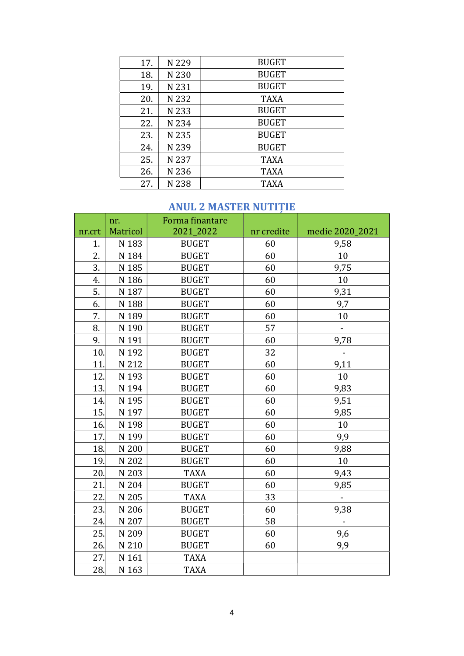| 17. | N 229 | <b>BUGET</b> |
|-----|-------|--------------|
| 18. | N 230 | <b>BUGET</b> |
| 19. | N 231 | <b>BUGET</b> |
| 20. | N 232 | <b>TAXA</b>  |
| 21. | N 233 | <b>BUGET</b> |
| 22. | N 234 | <b>BUGET</b> |
| 23. | N 235 | <b>BUGET</b> |
| 24. | N 239 | <b>BUGET</b> |
| 25. | N 237 | <b>TAXA</b>  |
| 26. | N 236 | <b>TAXA</b>  |
| 27. | N 238 | <b>TAXA</b>  |

### ANUL 2 MASTER NUTIȚIE

|                  | nr.      | Forma finantare |            |                 |
|------------------|----------|-----------------|------------|-----------------|
| nr.crt           | Matricol | 2021_2022       | nr credite | medie 2020_2021 |
| 1.               | N 183    | <b>BUGET</b>    | 60         | 9,58            |
| $\overline{2}$ . | N 184    | <b>BUGET</b>    | 60         | 10              |
| 3.               | N 185    | <b>BUGET</b>    | 60         | 9,75            |
| 4.               | N 186    | <b>BUGET</b>    | 60         | 10              |
| 5.               | N 187    | <b>BUGET</b>    | 60         | 9,31            |
| 6.               | N 188    | <b>BUGET</b>    | 60         | 9,7             |
| 7.               | N 189    | <b>BUGET</b>    | 60         | 10              |
| 8.               | N 190    | <b>BUGET</b>    | 57         |                 |
| 9.               | N 191    | <b>BUGET</b>    | 60         | 9,78            |
| 10.              | N 192    | <b>BUGET</b>    | 32         |                 |
| 11.              | N 212    | <b>BUGET</b>    | 60         | 9,11            |
| 12.              | N 193    | <b>BUGET</b>    | 60         | 10              |
| 13.              | N 194    | <b>BUGET</b>    | 60         | 9,83            |
| 14.              | N 195    | <b>BUGET</b>    | 60         | 9,51            |
| 15.              | N 197    | <b>BUGET</b>    | 60         | 9,85            |
| 16.              | N 198    | <b>BUGET</b>    | 60         | 10              |
| 17.              | N 199    | <b>BUGET</b>    | 60         | 9,9             |
| 18.              | N 200    | <b>BUGET</b>    | 60         | 9,88            |
| 19.              | N 202    | <b>BUGET</b>    | 60         | 10              |
| 20.              | N 203    | <b>TAXA</b>     | 60         | 9,43            |
| 21.              | N 204    | <b>BUGET</b>    | 60         | 9,85            |
| 22.              | N 205    | <b>TAXA</b>     | 33         |                 |
| 23.              | N 206    | <b>BUGET</b>    | 60         | 9,38            |
| 24.              | N 207    | <b>BUGET</b>    | 58         |                 |
| 25.              | N 209    | <b>BUGET</b>    | 60         | 9,6             |
| 26.              | N 210    | <b>BUGET</b>    | 60         | 9,9             |
| 27.              | N 161    | <b>TAXA</b>     |            |                 |
| 28.              | N 163    | <b>TAXA</b>     |            |                 |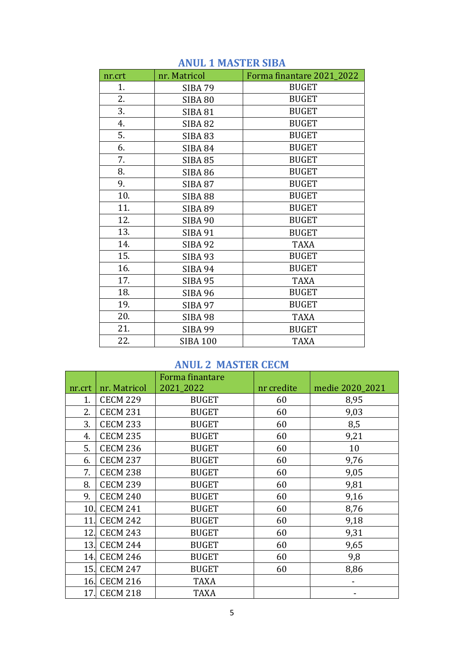| nr.crt | nr. Matricol    | Forma finantare 2021 2022 |
|--------|-----------------|---------------------------|
| 1.     | <b>SIBA 79</b>  | <b>BUGET</b>              |
| 2.     | <b>SIBA 80</b>  | <b>BUGET</b>              |
| 3.     | <b>SIBA 81</b>  | <b>BUGET</b>              |
| 4.     | <b>SIBA 82</b>  | <b>BUGET</b>              |
| 5.     | <b>SIBA 83</b>  | <b>BUGET</b>              |
| 6.     | <b>SIBA 84</b>  | <b>BUGET</b>              |
| 7.     | <b>SIBA 85</b>  | <b>BUGET</b>              |
| 8.     | <b>SIBA 86</b>  | <b>BUGET</b>              |
| 9.     | <b>SIBA 87</b>  | <b>BUGET</b>              |
| 10.    | <b>SIBA 88</b>  | <b>BUGET</b>              |
| 11.    | <b>SIBA 89</b>  | <b>BUGET</b>              |
| 12.    | SIBA 90         | <b>BUGET</b>              |
| 13.    | <b>SIBA 91</b>  | <b>BUGET</b>              |
| 14.    | <b>SIBA 92</b>  | <b>TAXA</b>               |
| 15.    | <b>SIBA 93</b>  | <b>BUGET</b>              |
| 16.    | <b>SIBA 94</b>  | <b>BUGET</b>              |
| 17.    | <b>SIBA 95</b>  | <b>TAXA</b>               |
| 18.    | <b>SIBA 96</b>  | <b>BUGET</b>              |
| 19.    | <b>SIBA 97</b>  | <b>BUGET</b>              |
| 20.    | <b>SIBA 98</b>  | <b>TAXA</b>               |
| 21.    | SIBA 99         | <b>BUGET</b>              |
| 22.    | <b>SIBA 100</b> | <b>TAXA</b>               |

#### ANUL 1 MASTER SIBA

### ANUL 2 MASTER CECM

|        |                 | Forma finantare |            |                 |
|--------|-----------------|-----------------|------------|-----------------|
| nr.crt | nr. Matricol    | 2021_2022       | nr credite | medie 2020_2021 |
| 1.     | <b>CECM 229</b> | <b>BUGET</b>    | 60         | 8,95            |
| 2.     | <b>CECM 231</b> | <b>BUGET</b>    | 60         | 9,03            |
| 3.     | <b>CECM 233</b> | <b>BUGET</b>    | 60         | 8,5             |
| 4.     | <b>CECM 235</b> | <b>BUGET</b>    | 60         | 9,21            |
| 5.     | <b>CECM 236</b> | <b>BUGET</b>    | 60         | 10              |
| 6.     | <b>CECM 237</b> | <b>BUGET</b>    | 60         | 9,76            |
| 7.     | <b>CECM 238</b> | <b>BUGET</b>    | 60         | 9,05            |
| 8.     | <b>CECM 239</b> | <b>BUGET</b>    | 60         | 9,81            |
| 9.     | <b>CECM 240</b> | <b>BUGET</b>    | 60         | 9,16            |
| 10.    | <b>CECM 241</b> | <b>BUGET</b>    | 60         | 8,76            |
| 11.    | <b>CECM 242</b> | <b>BUGET</b>    | 60         | 9,18            |
| 12.    | <b>CECM 243</b> | <b>BUGET</b>    | 60         | 9,31            |
| 13.    | <b>CECM 244</b> | <b>BUGET</b>    | 60         | 9,65            |
| 14.    | <b>CECM 246</b> | <b>BUGET</b>    | 60         | 9,8             |
| 15.    | <b>CECM 247</b> | <b>BUGET</b>    | 60         | 8,86            |
| 16.    | <b>CECM 216</b> | <b>TAXA</b>     |            |                 |
| 17.    | <b>CECM 218</b> | <b>TAXA</b>     |            |                 |